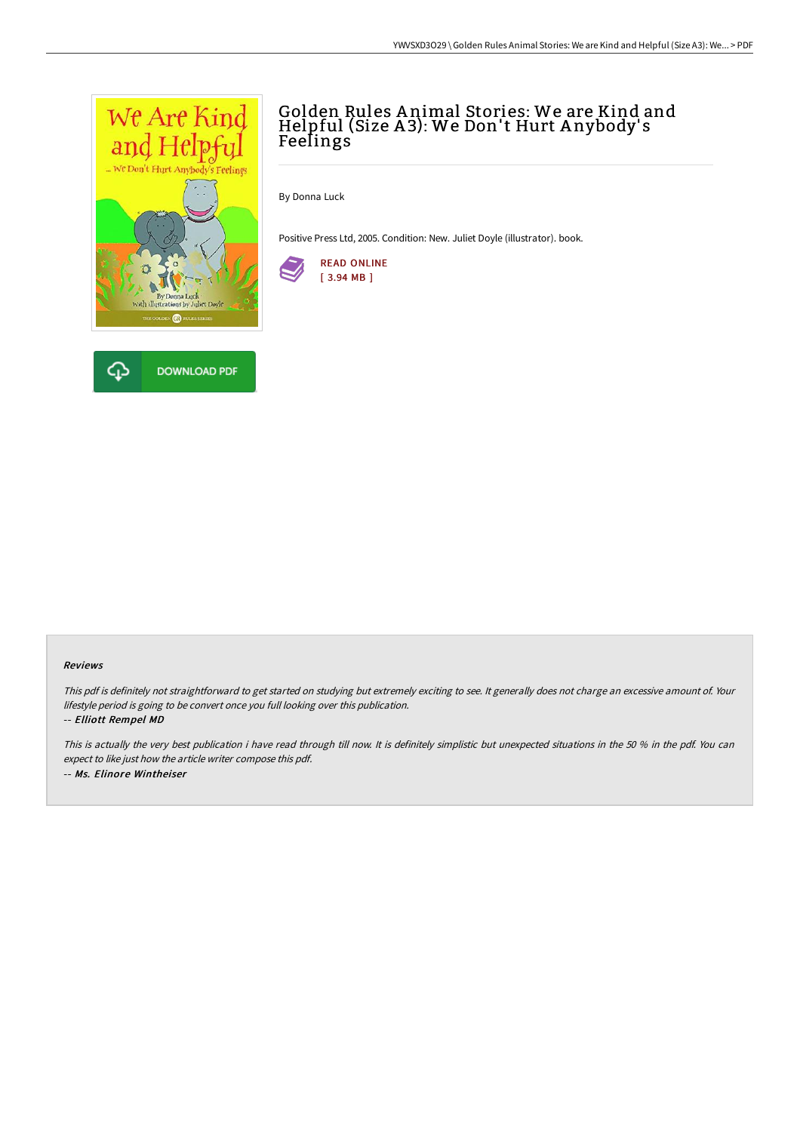

# Golden Rules A nimal Stories: We are Kind and Helpful (Size A 3): We Don't Hurt A nybody' s Feelings

By Donna Luck

Positive Press Ltd, 2005. Condition: New. Juliet Doyle (illustrator). book.



#### Reviews

This pdf is definitely not straightforward to get started on studying but extremely exciting to see. It generally does not charge an excessive amount of. Your lifestyle period is going to be convert once you full looking over this publication.

#### -- Elliott Rempel MD

This is actually the very best publication i have read through till now. It is definitely simplistic but unexpected situations in the <sup>50</sup> % in the pdf. You can expect to like just how the article writer compose this pdf. -- Ms. Elinore Wintheiser